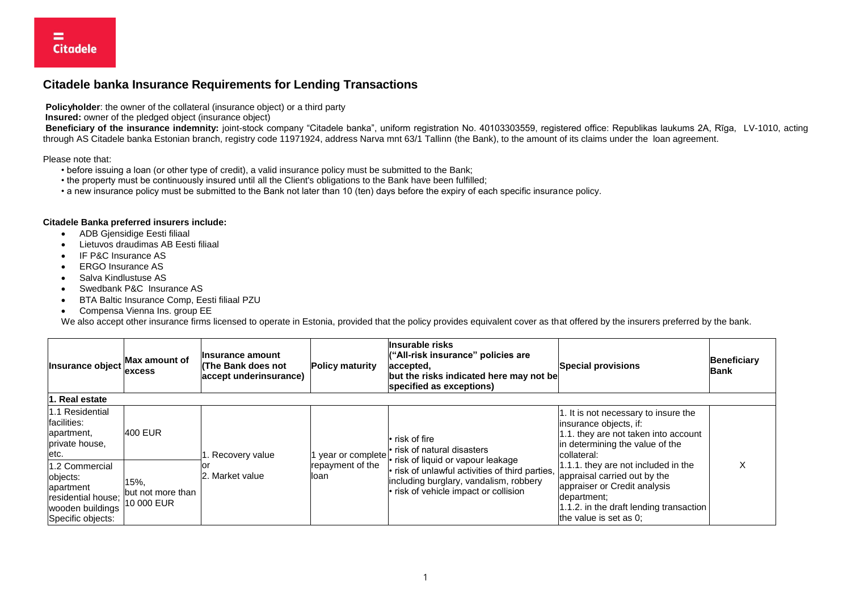## **Citadele banka Insurance Requirements for Lending Transactions**

**Policyholder**: the owner of the collateral (insurance object) or a third party

**Insured:** owner of the pledged object (insurance object)

**Beneficiary of the insurance indemnity:** joint-stock company "Citadele banka", uniform registration No. 40103303559, registered office: Republikas laukums 2A, Rīga, LV-1010, acting through AS Citadele banka Estonian branch, registry code 11971924, address Narva mnt 63/1 Tallinn (the Bank), to the amount of its claims under the loan agreement.

Please note that:

- before issuing a loan (or other type of credit), a valid insurance policy must be submitted to the Bank;
- the property must be continuously insured until all the Client's obligations to the Bank have been fulfilled;
- a new insurance policy must be submitted to the Bank not later than 10 (ten) days before the expiry of each specific insurance policy.

## **Citadele Banka preferred insurers include:**

- ADB Gjensidige Eesti filiaal
- Lietuvos draudimas AB Eesti filiaal
- IF P&C Insurance AS
- FRGO Insurance AS
- Salva Kindlustuse AS
- Swedbank P&C Insurance AS
- BTA Baltic Insurance Comp, Eesti filiaal PZU
- Compensa Vienna Ins. group EE

We also accept other insurance firms licensed to operate in Estonia, provided that the policy provides equivalent cover as that offered by the insurers preferred by the bank.

| Insurance object                                                                                       | Max amount of<br><b>excess</b>          | llnsurance amount<br>l(The Bank does not<br>accept underinsurance) | <b>Policy maturity</b>                       | llnsurable risks<br>("All-risk insurance" policies are<br>accepted,<br>but the risks indicated here may not be<br>specified as exceptions)                                                                                  | <b>Special provisions</b>                                                                                                                                                                                                                                                                                                                              | <b>Beneficiary</b><br><b>Bank</b> |
|--------------------------------------------------------------------------------------------------------|-----------------------------------------|--------------------------------------------------------------------|----------------------------------------------|-----------------------------------------------------------------------------------------------------------------------------------------------------------------------------------------------------------------------------|--------------------------------------------------------------------------------------------------------------------------------------------------------------------------------------------------------------------------------------------------------------------------------------------------------------------------------------------------------|-----------------------------------|
| 1. Real estate                                                                                         |                                         |                                                                    |                                              |                                                                                                                                                                                                                             |                                                                                                                                                                                                                                                                                                                                                        |                                   |
| 1.1 Residential<br>facilities:<br>apartment,<br>private house.<br>letc.                                | 400 EUR                                 | . Recovery value<br>. Market value<br>12.                          | year or complete<br>repayment of the<br>loan | l• risk of fire<br>l• risk of natural disasters<br>• risk of liquid or vapour leakage<br>. risk of unlawful activities of third parties,<br>including burglary, vandalism, robbery<br>. risk of vehicle impact or collision | 1. It is not necessary to insure the<br>insurance objects, if:<br>1.1. they are not taken into account<br>in determining the value of the<br>collateral:<br>$1.1.1$ . they are not included in the<br>appraisal carried out by the<br>appraiser or Credit analysis<br>department:<br>1.1.2. in the draft lending transaction<br>the value is set as 0; |                                   |
| 1.2 Commercial<br>objects:<br>apartment<br>residential house;<br>wooden buildings<br>Specific objects: | 15%,<br>but not more than<br>10 000 EUR |                                                                    |                                              |                                                                                                                                                                                                                             |                                                                                                                                                                                                                                                                                                                                                        |                                   |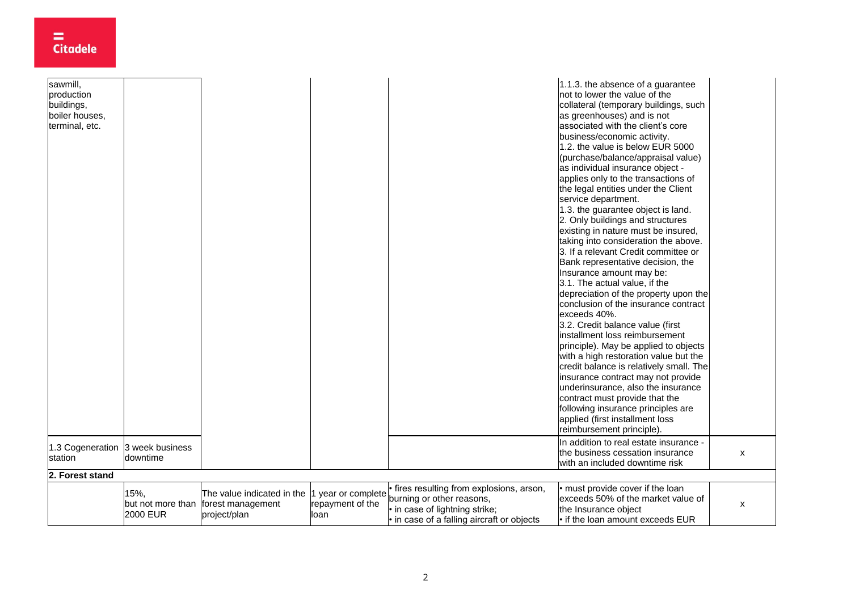| sawmill,         |                 |                                     |                    |                                            | 1.1.3. the absence of a guarantee       |   |
|------------------|-----------------|-------------------------------------|--------------------|--------------------------------------------|-----------------------------------------|---|
| production       |                 |                                     |                    |                                            | not to lower the value of the           |   |
| buildings,       |                 |                                     |                    |                                            | collateral (temporary buildings, such   |   |
| boiler houses,   |                 |                                     |                    |                                            | as greenhouses) and is not              |   |
| terminal, etc.   |                 |                                     |                    |                                            | associated with the client's core       |   |
|                  |                 |                                     |                    |                                            | business/economic activity.             |   |
|                  |                 |                                     |                    |                                            | 1.2, the value is below EUR 5000        |   |
|                  |                 |                                     |                    |                                            | (purchase/balance/appraisal value)      |   |
|                  |                 |                                     |                    |                                            | as individual insurance object -        |   |
|                  |                 |                                     |                    |                                            | applies only to the transactions of     |   |
|                  |                 |                                     |                    |                                            | the legal entities under the Client     |   |
|                  |                 |                                     |                    |                                            | service department.                     |   |
|                  |                 |                                     |                    |                                            | 1.3. the guarantee object is land.      |   |
|                  |                 |                                     |                    |                                            | 2. Only buildings and structures        |   |
|                  |                 |                                     |                    |                                            | existing in nature must be insured,     |   |
|                  |                 |                                     |                    |                                            | taking into consideration the above.    |   |
|                  |                 |                                     |                    |                                            | 3. If a relevant Credit committee or    |   |
|                  |                 |                                     |                    |                                            | Bank representative decision, the       |   |
|                  |                 |                                     |                    |                                            | Insurance amount may be:                |   |
|                  |                 |                                     |                    |                                            | 3.1. The actual value, if the           |   |
|                  |                 |                                     |                    |                                            | depreciation of the property upon the   |   |
|                  |                 |                                     |                    |                                            | conclusion of the insurance contract    |   |
|                  |                 |                                     |                    |                                            | exceeds 40%.                            |   |
|                  |                 |                                     |                    |                                            | 3.2. Credit balance value (first        |   |
|                  |                 |                                     |                    |                                            | installment loss reimbursement          |   |
|                  |                 |                                     |                    |                                            | principle). May be applied to objects   |   |
|                  |                 |                                     |                    |                                            | with a high restoration value but the   |   |
|                  |                 |                                     |                    |                                            | credit balance is relatively small. The |   |
|                  |                 |                                     |                    |                                            | insurance contract may not provide      |   |
|                  |                 |                                     |                    |                                            | underinsurance, also the insurance      |   |
|                  |                 |                                     |                    |                                            | contract must provide that the          |   |
|                  |                 |                                     |                    |                                            | following insurance principles are      |   |
|                  |                 |                                     |                    |                                            | applied (first installment loss         |   |
|                  |                 |                                     |                    |                                            | reimbursement principle).               |   |
| 1.3 Cogeneration | 3 week business |                                     |                    |                                            | In addition to real estate insurance -  |   |
| station          | downtime        |                                     |                    |                                            | the business cessation insurance        | X |
|                  |                 |                                     |                    |                                            | with an included downtime risk          |   |
| 2. Forest stand  |                 |                                     |                    |                                            |                                         |   |
|                  | 15%,            | The value indicated in the          | 1 year or complete | fires resulting from explosions, arson,    | must provide cover if the loan          |   |
|                  |                 | but not more than forest management | repayment of the   | burning or other reasons,                  | exceeds 50% of the market value of      | X |
|                  | <b>2000 EUR</b> | project/plan                        | loan               | • in case of lightning strike;             | the Insurance object                    |   |
|                  |                 |                                     |                    | • in case of a falling aircraft or objects | If the loan amount exceeds EUR          |   |

 $\equiv$  Citadele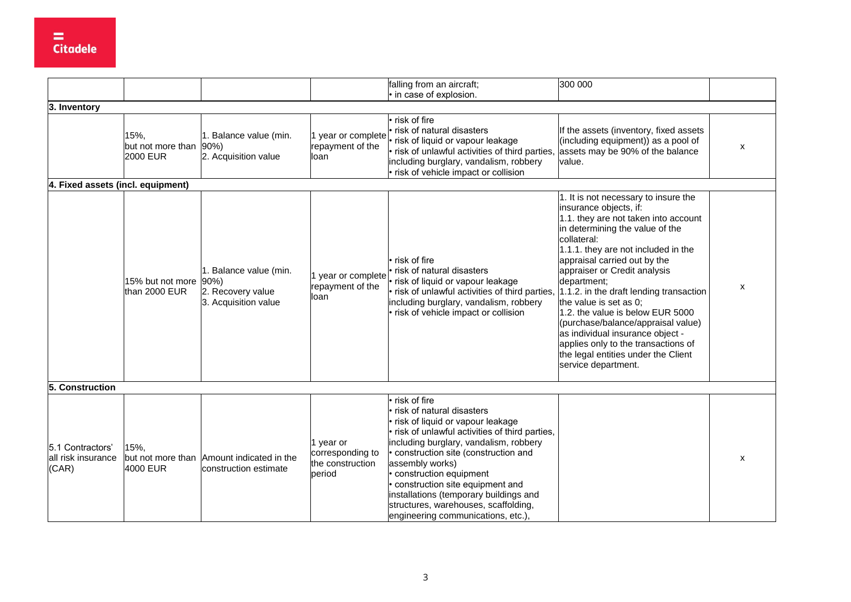|                                                 |                                            |                                                                     |                                                             | falling from an aircraft;<br>in case of explosion.                                                                                                                                                                                                                                                                                                                                                                            | 300 000                                                                                                                                                                                                                                                                                                                                                                                                                                                                                                                                                                |              |
|-------------------------------------------------|--------------------------------------------|---------------------------------------------------------------------|-------------------------------------------------------------|-------------------------------------------------------------------------------------------------------------------------------------------------------------------------------------------------------------------------------------------------------------------------------------------------------------------------------------------------------------------------------------------------------------------------------|------------------------------------------------------------------------------------------------------------------------------------------------------------------------------------------------------------------------------------------------------------------------------------------------------------------------------------------------------------------------------------------------------------------------------------------------------------------------------------------------------------------------------------------------------------------------|--------------|
| 3. Inventory                                    |                                            |                                                                     |                                                             |                                                                                                                                                                                                                                                                                                                                                                                                                               |                                                                                                                                                                                                                                                                                                                                                                                                                                                                                                                                                                        |              |
|                                                 | 15%,<br>but not more than 90%)<br>2000 EUR | 1. Balance value (min.<br>2. Acquisition value                      | 1 year or complete<br>repayment of the<br>loan              | risk of fire<br>risk of natural disasters<br>risk of liquid or vapour leakage<br>risk of unlawful activities of third parties,<br>including burglary, vandalism, robbery<br>risk of vehicle impact or collision                                                                                                                                                                                                               | If the assets (inventory, fixed assets<br>(including equipment)) as a pool of<br>assets may be 90% of the balance<br>value.                                                                                                                                                                                                                                                                                                                                                                                                                                            | X            |
| 4. Fixed assets (incl. equipment)               |                                            |                                                                     |                                                             |                                                                                                                                                                                                                                                                                                                                                                                                                               |                                                                                                                                                                                                                                                                                                                                                                                                                                                                                                                                                                        |              |
|                                                 | 15% but not more (90%)<br>than 2000 EUR    | 1. Balance value (min.<br>2. Recovery value<br>3. Acquisition value | 1 year or complete<br>repayment of the<br>loan              | · risk of fire<br>risk of natural disasters<br>risk of liquid or vapour leakage<br>risk of unlawful activities of third parties,<br>including burglary, vandalism, robbery<br>· risk of vehicle impact or collision                                                                                                                                                                                                           | 1. It is not necessary to insure the<br>insurance objects, if:<br>1.1. they are not taken into account<br>in determining the value of the<br>collateral:<br>1.1.1. they are not included in the<br>appraisal carried out by the<br>appraiser or Credit analysis<br>department;<br>1.1.2. in the draft lending transaction<br>the value is set as 0;<br>1.2. the value is below EUR 5000<br>(purchase/balance/appraisal value)<br>as individual insurance object -<br>applies only to the transactions of<br>the legal entities under the Client<br>service department. | $\mathsf{x}$ |
| 5. Construction                                 |                                            |                                                                     |                                                             |                                                                                                                                                                                                                                                                                                                                                                                                                               |                                                                                                                                                                                                                                                                                                                                                                                                                                                                                                                                                                        |              |
| 5.1 Contractors'<br>all risk insurance<br>(CAR) | 15%,<br>4000 EUR                           | but not more than Amount indicated in the<br>construction estimate  | 1 year or<br>corresponding to<br>the construction<br>period | risk of fire<br>risk of natural disasters<br>risk of liquid or vapour leakage<br>· risk of unlawful activities of third parties,<br>including burglary, vandalism, robbery<br>· construction site (construction and<br>assembly works)<br>construction equipment<br>· construction site equipment and<br>installations (temporary buildings and<br>structures, warehouses, scaffolding,<br>engineering communications, etc.), |                                                                                                                                                                                                                                                                                                                                                                                                                                                                                                                                                                        | X            |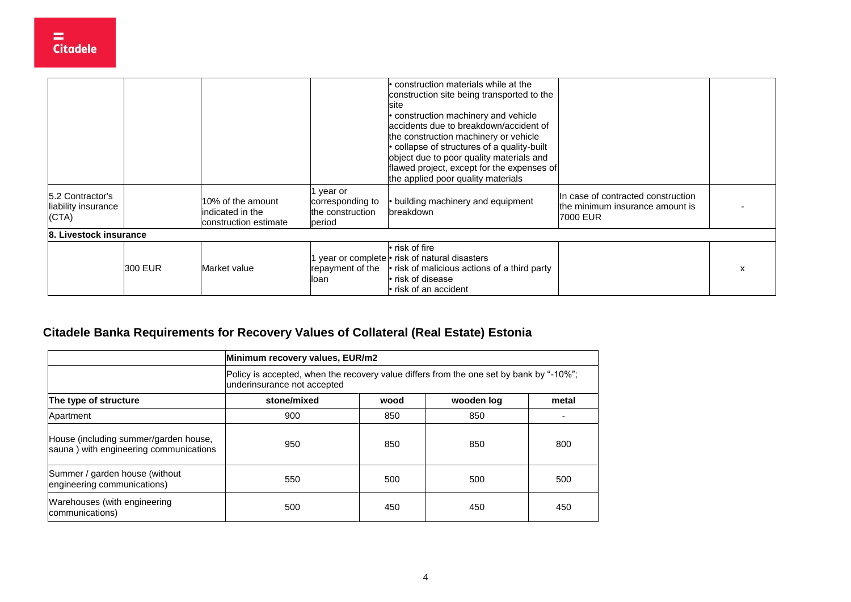|                                                  |         |                                                                |                                                           | $\cdot$ construction materials while at the<br>construction site being transported to the<br>lsite<br>• construction machinery and vehicle<br>accidents due to breakdown/accident of<br>the construction machinery or vehicle<br>· collapse of structures of a quality-built<br>object due to poor quality materials and<br>flawed project, except for the expenses of<br>the applied poor quality materials |                                                                                   |  |
|--------------------------------------------------|---------|----------------------------------------------------------------|-----------------------------------------------------------|--------------------------------------------------------------------------------------------------------------------------------------------------------------------------------------------------------------------------------------------------------------------------------------------------------------------------------------------------------------------------------------------------------------|-----------------------------------------------------------------------------------|--|
| 5.2 Contractor's<br>liability insurance<br>(CTA) |         | 10% of the amount<br>indicated in the<br>construction estimate | year or<br>corresponding to<br>the construction<br>period | • building machinery and equipment<br>breakdown                                                                                                                                                                                                                                                                                                                                                              | In case of contracted construction<br>the minimum insurance amount is<br>7000 EUR |  |
| 8. Livestock insurance                           |         |                                                                |                                                           |                                                                                                                                                                                                                                                                                                                                                                                                              |                                                                                   |  |
|                                                  | 300 EUR | Market value                                                   | repayment of the<br>lloan                                 | • risk of fire<br>year or complete • risk of natural disasters<br>$\cdot$ risk of malicious actions of a third party<br>• risk of disease<br>. risk of an accident                                                                                                                                                                                                                                           |                                                                                   |  |

## **Citadele Banka Requirements for Recovery Values of Collateral (Real Estate) Estonia**

|                                                                                 | Minimum recovery values, EUR/m2                                                                                        |      |            |       |  |  |  |
|---------------------------------------------------------------------------------|------------------------------------------------------------------------------------------------------------------------|------|------------|-------|--|--|--|
|                                                                                 | Policy is accepted, when the recovery value differs from the one set by bank by "-10%";<br>underinsurance not accepted |      |            |       |  |  |  |
| The type of structure                                                           | stone/mixed                                                                                                            | wood | wooden log | metal |  |  |  |
| Apartment                                                                       | 900                                                                                                                    | 850  | 850        |       |  |  |  |
| House (including summer/garden house,<br>sauna) with engineering communications | 950                                                                                                                    | 850  | 850        | 800   |  |  |  |
| Summer / garden house (without<br>engineering communications)                   | 550                                                                                                                    | 500  | 500        | 500   |  |  |  |
| Warehouses (with engineering<br>communications)                                 | 500                                                                                                                    | 450  | 450        | 450   |  |  |  |